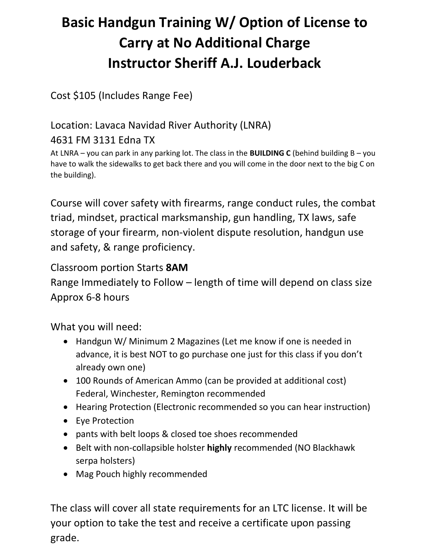# **Basic Handgun Training W/ Option of License to Carry at No Additional Charge Instructor Sheriff A.J. Louderback**

Cost \$105 (Includes Range Fee)

### Location: Lavaca Navidad River Authority (LNRA)

### 4631 FM 3131 Edna TX

At LNRA – you can park in any parking lot. The class in the **BUILDING C** (behind building B – you have to walk the sidewalks to get back there and you will come in the door next to the big C on the building).

Course will cover safety with firearms, range conduct rules, the combat triad, mindset, practical marksmanship, gun handling, TX laws, safe storage of your firearm, non-violent dispute resolution, handgun use and safety, & range proficiency.

## Classroom portion Starts **8AM**

Range Immediately to Follow – length of time will depend on class size Approx 6-8 hours

What you will need:

- Handgun W/ Minimum 2 Magazines (Let me know if one is needed in advance, it is best NOT to go purchase one just for this class if you don't already own one)
- 100 Rounds of American Ammo (can be provided at additional cost) Federal, Winchester, Remington recommended
- Hearing Protection (Electronic recommended so you can hear instruction)
- Eye Protection
- pants with belt loops & closed toe shoes recommended
- Belt with non-collapsible holster **highly** recommended (NO Blackhawk serpa holsters)
- Mag Pouch highly recommended

The class will cover all state requirements for an LTC license. It will be your option to take the test and receive a certificate upon passing grade.